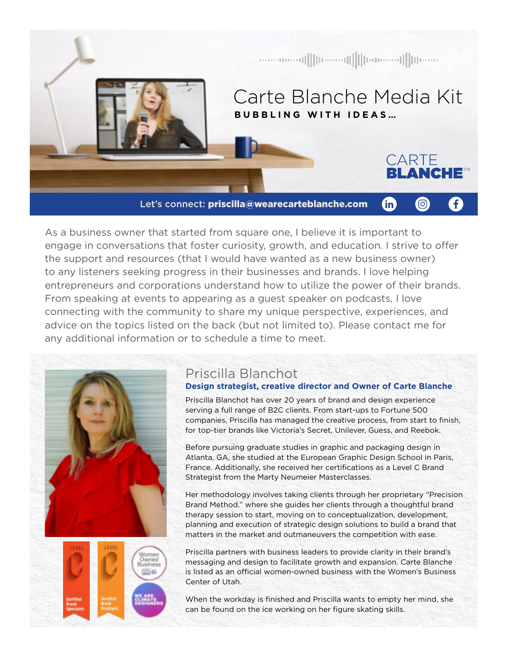

As a business owner that started from square one, I believe it is important to engage in conversations that foster curiosity, growth, and education. I strive to offer the support and resources (that I would have wanted as a new business owner) to any listeners seeking progress in their businesses and brands. I love helping entrepreneurs and corporations understand how to utilize the power of their brands. From speaking at events to appearing as a guest speaker on podcasts, I love connecting with the community to share my unique perspective, experiences, and advice on the topics listed on the back (but not limited to). Please contact me for any additional information or to schedule a time to meet.



# Priscilla Blanchot

### **Design strategist, creative director and Owner of Carte Blanche**

Priscilla Blanchot has over 20 years of brand and design experience serving a full range of B2C clients. From start-ups to Fortune 500 companies, Priscilla has managed the creative process, from start to finish, for top-tier brands like Victoria's Secret, Unilever, Guess, and Reebok.

Before pursuing graduate studies in graphic and packaging design in Atlanta, GA, she studied at the European Graphic Design School in Paris, France. Additionally, she received her certifications as a Level C Brand Strategist from the Marty Neumeier Masterclasses.

Her methodology involves taking clients through her proprietary "Precision Brand Method." where she guides her clients through a thoughtful brand therapy session to start, moving on to conceptualization, development, planning and execution of strategic design solutions to build a brand that matters in the market and outmaneuvers the competition with ease.

Priscilla partners with business leaders to provide clarity in their brand's messaging and design to facilitate growth and expansion. Carte Blanche is listed as an official women-owned business with the Women's Business Center of Utah.

When the workday is finished and Priscilla wants to empty her mind, she can be found on the ice working on her figure skating skills.